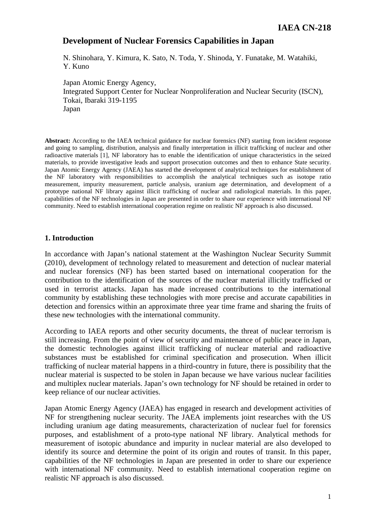# **Development of Nuclear Forensics Capabilities in Japan**

N. Shinohara, Y. Kimura, K. Sato, N. Toda, Y. Shinoda, Y. Funatake, M. Watahiki, Y. Kuno

Japan Atomic Energy Agency, Integrated Support Center for Nuclear Nonproliferation and Nuclear Security (ISCN), Tokai, Ibaraki 319-1195 Japan

**Abstract:** According to the IAEA technical guidance for nuclear forensics (NF) starting from incident response and going to sampling, distribution, analysis and finally interpretation in illicit trafficking of nuclear and other radioactive materials [1], NF laboratory has to enable the identification of unique characteristics in the seized materials, to provide investigative leads and support prosecution outcomes and then to enhance State security. Japan Atomic Energy Agency (JAEA) has started the development of analytical techniques for establishment of the NF laboratory with responsibilities to accomplish the analytical techniques such as isotope ratio measurement, impurity measurement, particle analysis, uranium age determination, and development of a prototype national NF library against illicit trafficking of nuclear and radiological materials. In this paper, capabilities of the NF technologies in Japan are presented in order to share our experience with international NF community. Need to establish international cooperation regime on realistic NF approach is also discussed.

### **1. Introduction**

In accordance with Japan's national statement at the Washington Nuclear Security Summit (2010), development of technology related to measurement and detection of nuclear material and nuclear forensics (NF) has been started based on international cooperation for the contribution to the identification of the sources of the nuclear material illicitly trafficked or used in terrorist attacks. Japan has made increased contributions to the international community by establishing these technologies with more precise and accurate capabilities in detection and forensics within an approximate three year time frame and sharing the fruits of these new technologies with the international community.

According to IAEA reports and other security documents, the threat of nuclear terrorism is still increasing. From the point of view of security and maintenance of public peace in Japan, the domestic technologies against illicit trafficking of nuclear material and radioactive substances must be established for criminal specification and prosecution. When illicit trafficking of nuclear material happens in a third-country in future, there is possibility that the nuclear material is suspected to be stolen in Japan because we have various nuclear facilities and multiplex nuclear materials. Japan's own technology for NF should be retained in order to keep reliance of our nuclear activities.

Japan Atomic Energy Agency (JAEA) has engaged in research and development activities of NF for strengthening nuclear security. The JAEA implements joint researches with the US including uranium age dating measurements, characterization of nuclear fuel for forensics purposes, and establishment of a proto-type national NF library. Analytical methods for measurement of isotopic abundance and impurity in nuclear material are also developed to identify its source and determine the point of its origin and routes of transit. In this paper, capabilities of the NF technologies in Japan are presented in order to share our experience with international NF community. Need to establish international cooperation regime on realistic NF approach is also discussed.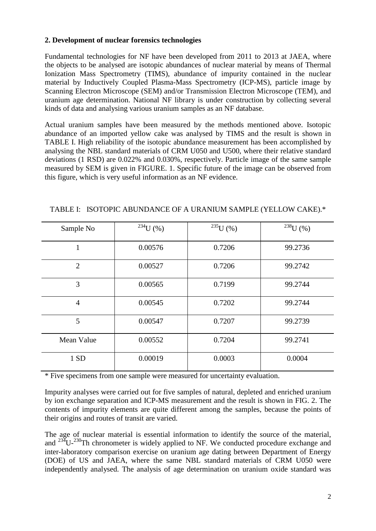## **2. Development of nuclear forensics technologies**

Fundamental technologies for NF have been developed from 2011 to 2013 at JAEA, where the objects to be analysed are isotopic abundances of nuclear material by means of Thermal Ionization Mass Spectrometry (TIMS), abundance of impurity contained in the nuclear material by Inductively Coupled Plasma-Mass Spectrometry (ICP-MS), particle image by Scanning Electron Microscope (SEM) and/or Transmission Electron Microscope (TEM), and uranium age determination. National NF library is under construction by collecting several kinds of data and analysing various uranium samples as an NF database.

Actual uranium samples have been measured by the methods mentioned above. Isotopic abundance of an imported yellow cake was analysed by TIMS and the result is shown in TABLE I. High reliability of the isotopic abundance measurement has been accomplished by analysing the NBL standard materials of CRM U050 and U500, where their relative standard deviations (1 RSD) are 0.022% and 0.030%, respectively. Particle image of the same sample measured by SEM is given in FIGURE. 1. Specific future of the image can be observed from this figure, which is very useful information as an NF evidence.

| Sample No      | $^{234}$ U (%) | $^{235}$ U (%) | $^{238}$ U (%) |
|----------------|----------------|----------------|----------------|
| 1              | 0.00576        | 0.7206         | 99.2736        |
| $\overline{2}$ | 0.00527        | 0.7206         | 99.2742        |
| 3              | 0.00565        | 0.7199         | 99.2744        |
| $\overline{4}$ | 0.00545        | 0.7202         | 99.2744        |
| 5              | 0.00547        | 0.7207         | 99.2739        |
| Mean Value     | 0.00552        | 0.7204         | 99.2741        |
| 1 SD           | 0.00019        | 0.0003         | 0.0004         |

TABLE I: ISOTOPIC ABUNDANCE OF A URANIUM SAMPLE (YELLOW CAKE).\*

\* Five specimens from one sample were measured for uncertainty evaluation.

Impurity analyses were carried out for five samples of natural, depleted and enriched uranium by ion exchange separation and ICP-MS measurement and the result is shown in FIG. 2. The contents of impurity elements are quite different among the samples, because the points of their origins and routes of transit are varied.

The age of nuclear material is essential information to identify the source of the material, and  $^{234}U^{-230}$ Th chronometer is widely applied to NF. We conducted procedure exchange and inter-laboratory comparison exercise on uranium age dating between Department of Energy (DOE) of US and JAEA, where the same NBL standard materials of CRM U050 were independently analysed. The analysis of age determination on uranium oxide standard was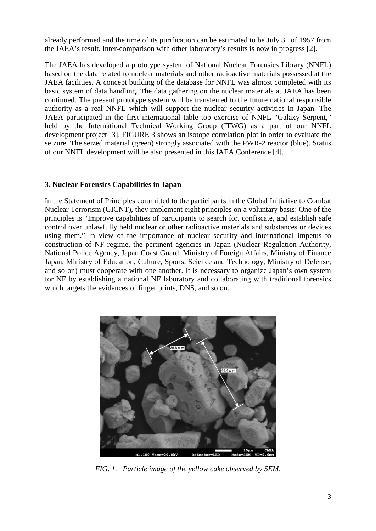already performed and the time of its purification can be estimated to be July 31 of 1957 from the JAEA's result. Inter-comparison with other laboratory's results is now in progress [2].

The JAEA has developed a prototype system of National Nuclear Forensics Library (NNFL) based on the data related to nuclear materials and other radioactive materials possessed at the JAEA facilities. A concept building of the database for NNFL was almost completed with its basic system of data handling. The data gathering on the nuclear materials at JAEA has been continued. The present prototype system will be transferred to the future national responsible authority as a real NNFL which will support the nuclear security activities in Japan. The JAEA participated in the first international table top exercise of NNFL "Galaxy Serpent," held by the International Technical Working Group (ITWG) as a part of our NNFL development project [3]. FIGURE 3 shows an isotope correlation plot in order to evaluate the seizure. The seized material (green) strongly associated with the PWR-2 reactor (blue). Status of our NNFL development will be also presented in this IAEA Conference [4].

# **3. Nuclear Forensics Capabilities in Japan**

In the Statement of Principles committed to the participants in the Global Initiative to Combat Nuclear Terrorism (GICNT), they implement eight principles on a voluntary basis: One of the principles is "Improve capabilities of participants to search for, confiscate, and establish safe control over unlawfully held nuclear or other radioactive materials and substances or devices using them." In view of the importance of nuclear security and international impetus to construction of NF regime, the pertinent agencies in Japan (Nuclear Regulation Authority, National Police Agency, Japan Coast Guard, Ministry of Foreign Affairs, Ministry of Finance Japan, Ministry of Education, Culture, Sports, Science and Technology, Ministry of Defense, and so on) must cooperate with one another. It is necessary to organize Japan's own system for NF by establishing a national NF laboratory and collaborating with traditional forensics which targets the evidences of finger prints, DNS, and so on.



*FIG. 1. Particle image of the yellow cake observed by SEM*.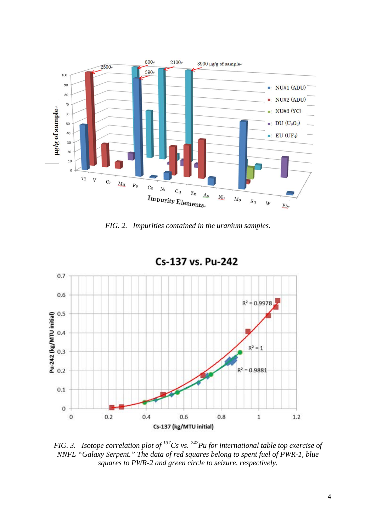

*FIG. 2. Impurities contained in the uranium samples.*



Cs-137 vs. Pu-242

*FIG. 3. Isotope correlation plot of 137Cs vs. 242Pu for international table top exercise of NNFL "Galaxy Serpent." The data of red squares belong to spent fuel of PWR-1, blue squares to PWR-2 and green circle to seizure, respectively.*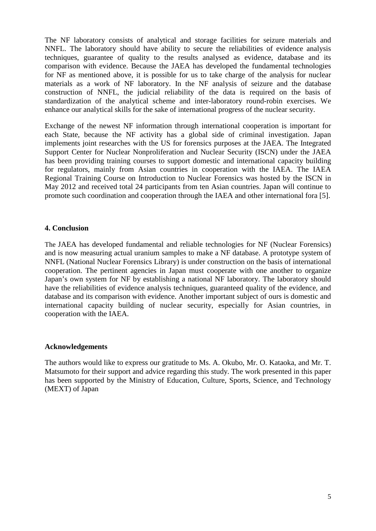The NF laboratory consists of analytical and storage facilities for seizure materials and NNFL. The laboratory should have ability to secure the reliabilities of evidence analysis techniques, guarantee of quality to the results analysed as evidence, database and its comparison with evidence. Because the JAEA has developed the fundamental technologies for NF as mentioned above, it is possible for us to take charge of the analysis for nuclear materials as a work of NF laboratory. In the NF analysis of seizure and the database construction of NNFL, the judicial reliability of the data is required on the basis of standardization of the analytical scheme and inter-laboratory round-robin exercises. We enhance our analytical skills for the sake of international progress of the nuclear security.

Exchange of the newest NF information through international cooperation is important for each State, because the NF activity has a global side of criminal investigation. Japan implements joint researches with the US for forensics purposes at the JAEA. The Integrated Support Center for Nuclear Nonproliferation and Nuclear Security (ISCN) under the JAEA has been providing training courses to support domestic and international capacity building for regulators, mainly from Asian countries in cooperation with the IAEA. The IAEA Regional Training Course on Introduction to Nuclear Forensics was hosted by the ISCN in May 2012 and received total 24 participants from ten Asian countries. Japan will continue to promote such coordination and cooperation through the IAEA and other international fora [5].

### **4. Conclusion**

The JAEA has developed fundamental and reliable technologies for NF (Nuclear Forensics) and is now measuring actual uranium samples to make a NF database. A prototype system of NNFL (National Nuclear Forensics Library) is under construction on the basis of international cooperation. The pertinent agencies in Japan must cooperate with one another to organize Japan's own system for NF by establishing a national NF laboratory. The laboratory should have the reliabilities of evidence analysis techniques, guaranteed quality of the evidence, and database and its comparison with evidence. Another important subject of ours is domestic and international capacity building of nuclear security, especially for Asian countries, in cooperation with the IAEA.

## **Acknowledgements**

The authors would like to express our gratitude to Ms. A. Okubo, Mr. O. Kataoka, and Mr. T. Matsumoto for their support and advice regarding this study. The work presented in this paper has been supported by the Ministry of Education, Culture, Sports, Science, and Technology (MEXT) of Japan